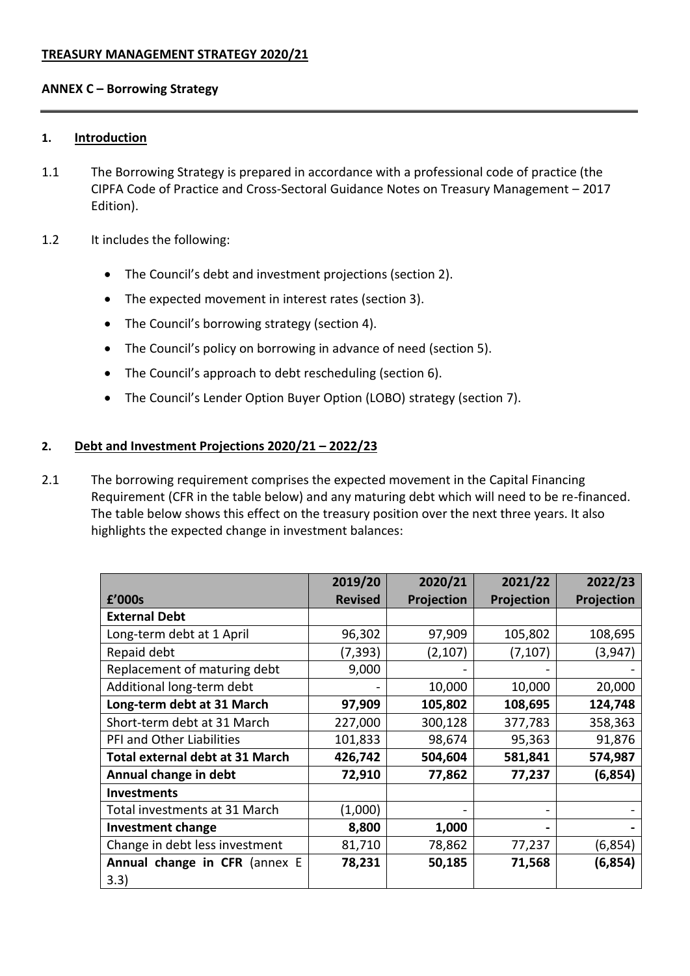#### **ANNEX C – Borrowing Strategy**

#### **1. Introduction**

- 1.1 The Borrowing Strategy is prepared in accordance with a professional code of practice (the CIPFA Code of Practice and Cross-Sectoral Guidance Notes on Treasury Management – 2017 Edition).
- 1.2 It includes the following:
	- The Council's debt and investment projections (section 2).
	- The expected movement in interest rates (section 3).
	- The Council's borrowing strategy (section 4).
	- The Council's policy on borrowing in advance of need (section 5).
	- The Council's approach to debt rescheduling (section 6).
	- The Council's Lender Option Buyer Option (LOBO) strategy (section 7).

#### **2. Debt and Investment Projections 2020/21 – 2022/23**

2.1 The borrowing requirement comprises the expected movement in the Capital Financing Requirement (CFR in the table below) and any maturing debt which will need to be re-financed. The table below shows this effect on the treasury position over the next three years. It also highlights the expected change in investment balances:

|                                        | 2019/20        | 2020/21    | 2021/22    | 2022/23    |
|----------------------------------------|----------------|------------|------------|------------|
| £'000s                                 | <b>Revised</b> | Projection | Projection | Projection |
| <b>External Debt</b>                   |                |            |            |            |
| Long-term debt at 1 April              | 96,302         | 97,909     | 105,802    | 108,695    |
| Repaid debt                            | (7, 393)       | (2, 107)   | (7, 107)   | (3,947)    |
| Replacement of maturing debt           | 9,000          |            |            |            |
| Additional long-term debt              |                | 10,000     | 10,000     | 20,000     |
| Long-term debt at 31 March             | 97,909         | 105,802    | 108,695    | 124,748    |
| Short-term debt at 31 March            | 227,000        | 300,128    | 377,783    | 358,363    |
| PFI and Other Liabilities              | 101,833        | 98,674     | 95,363     | 91,876     |
| <b>Total external debt at 31 March</b> | 426,742        | 504,604    | 581,841    | 574,987    |
| Annual change in debt                  | 72,910         | 77,862     | 77,237     | (6, 854)   |
| <b>Investments</b>                     |                |            |            |            |
| Total investments at 31 March          | (1,000)        |            |            |            |
| <b>Investment change</b>               | 8,800          | 1,000      |            |            |
| Change in debt less investment         | 81,710         | 78,862     | 77,237     | (6,854)    |
| Annual change in CFR (annex E          | 78,231         | 50,185     | 71,568     | (6,854)    |
| 3.3)                                   |                |            |            |            |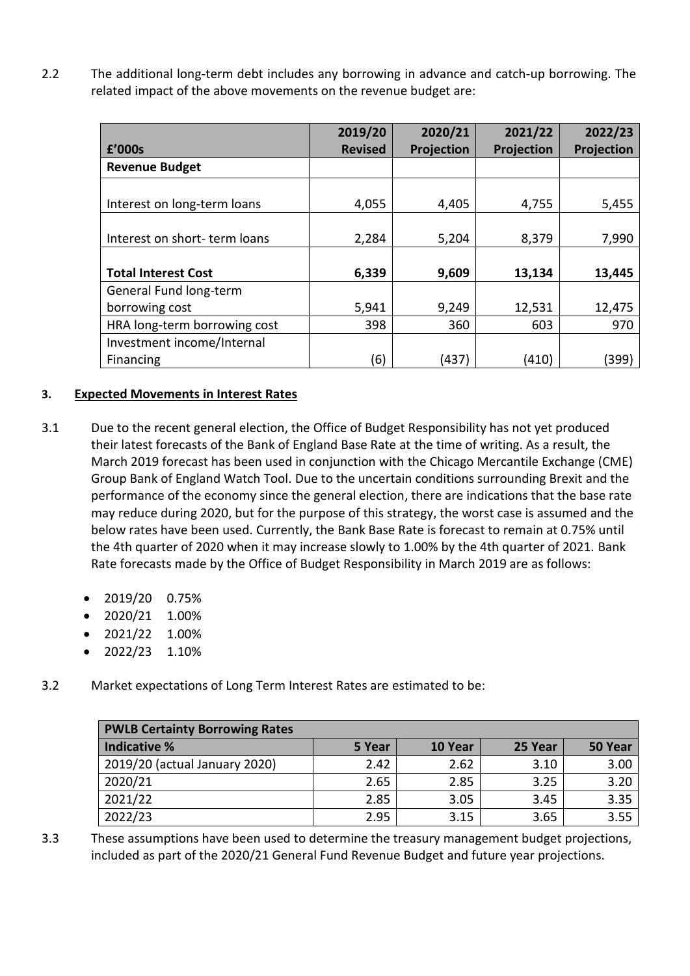2.2 The additional long-term debt includes any borrowing in advance and catch-up borrowing. The related impact of the above movements on the revenue budget are:

|                              | 2019/20        | 2020/21    | 2021/22    | 2022/23    |
|------------------------------|----------------|------------|------------|------------|
| £'000s                       | <b>Revised</b> | Projection | Projection | Projection |
| <b>Revenue Budget</b>        |                |            |            |            |
|                              |                |            |            |            |
| Interest on long-term loans  | 4,055          | 4,405      | 4,755      | 5,455      |
|                              |                |            |            |            |
| Interest on short-term loans | 2,284          | 5,204      | 8,379      | 7,990      |
|                              |                |            |            |            |
| <b>Total Interest Cost</b>   | 6,339          | 9,609      | 13,134     | 13,445     |
| General Fund long-term       |                |            |            |            |
| borrowing cost               | 5,941          | 9,249      | 12,531     | 12,475     |
| HRA long-term borrowing cost | 398            | 360        | 603        | 970        |
| Investment income/Internal   |                |            |            |            |
| Financing                    | (6)            | (437)      | (410)      | (399)      |

## **3. Expected Movements in Interest Rates**

- 3.1 Due to the recent general election, the Office of Budget Responsibility has not yet produced their latest forecasts of the Bank of England Base Rate at the time of writing. As a result, the March 2019 forecast has been used in conjunction with the Chicago Mercantile Exchange (CME) Group Bank of England Watch Tool. Due to the uncertain conditions surrounding Brexit and the performance of the economy since the general election, there are indications that the base rate may reduce during 2020, but for the purpose of this strategy, the worst case is assumed and the below rates have been used. Currently, the Bank Base Rate is forecast to remain at 0.75% until the 4th quarter of 2020 when it may increase slowly to 1.00% by the 4th quarter of 2021. Bank Rate forecasts made by the Office of Budget Responsibility in March 2019 are as follows:
	- 2019/20 0.75%
	- 2020/21 1.00%
	- $\bullet$  2021/22 1.00%
	- 2022/23 1.10%
- 3.2 Market expectations of Long Term Interest Rates are estimated to be:

| <b>PWLB Certainty Borrowing Rates</b> |        |         |         |         |  |  |
|---------------------------------------|--------|---------|---------|---------|--|--|
| <b>Indicative %</b>                   | 5 Year | 10 Year | 25 Year | 50 Year |  |  |
| 2019/20 (actual January 2020)         | 2.42   | 2.62    | 3.10    | 3.00    |  |  |
| 2020/21                               | 2.65   | 2.85    | 3.25    | 3.20    |  |  |
| 2021/22                               | 2.85   | 3.05    | 3.45    | 3.35    |  |  |
| 2022/23                               | 2.95   | 3.15    | 3.65    | 3.55    |  |  |

3.3 These assumptions have been used to determine the treasury management budget projections, included as part of the 2020/21 General Fund Revenue Budget and future year projections.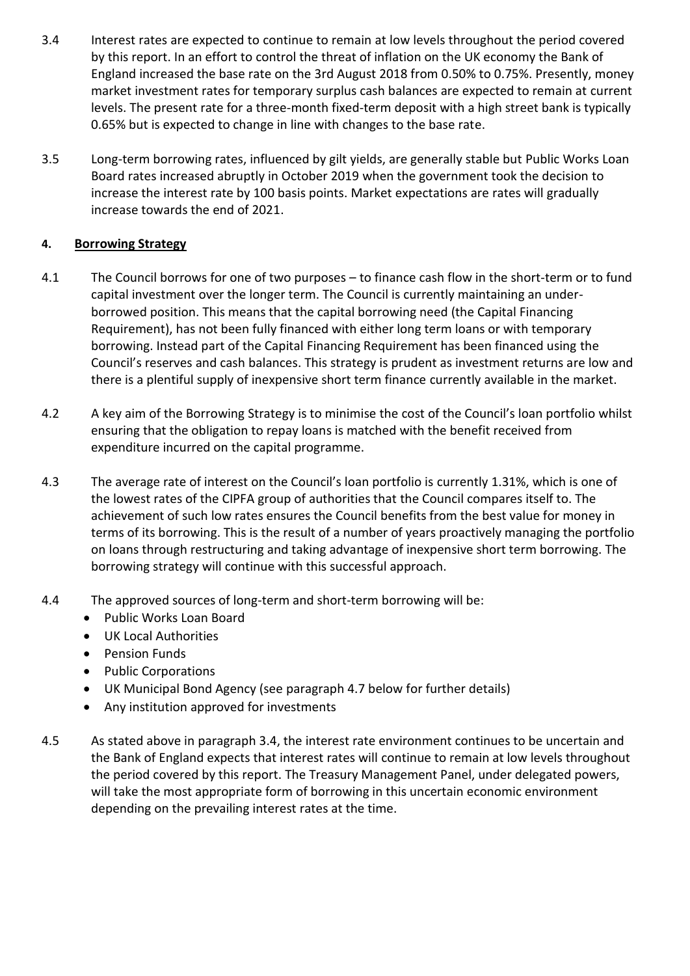- 3.4 Interest rates are expected to continue to remain at low levels throughout the period covered by this report. In an effort to control the threat of inflation on the UK economy the Bank of England increased the base rate on the 3rd August 2018 from 0.50% to 0.75%. Presently, money market investment rates for temporary surplus cash balances are expected to remain at current levels. The present rate for a three-month fixed-term deposit with a high street bank is typically 0.65% but is expected to change in line with changes to the base rate.
- 3.5 Long-term borrowing rates, influenced by gilt yields, are generally stable but Public Works Loan Board rates increased abruptly in October 2019 when the government took the decision to increase the interest rate by 100 basis points. Market expectations are rates will gradually increase towards the end of 2021.

## **4. Borrowing Strategy**

- 4.1 The Council borrows for one of two purposes to finance cash flow in the short-term or to fund capital investment over the longer term. The Council is currently maintaining an underborrowed position. This means that the capital borrowing need (the Capital Financing Requirement), has not been fully financed with either long term loans or with temporary borrowing. Instead part of the Capital Financing Requirement has been financed using the Council's reserves and cash balances. This strategy is prudent as investment returns are low and there is a plentiful supply of inexpensive short term finance currently available in the market.
- 4.2 A key aim of the Borrowing Strategy is to minimise the cost of the Council's loan portfolio whilst ensuring that the obligation to repay loans is matched with the benefit received from expenditure incurred on the capital programme.
- 4.3 The average rate of interest on the Council's loan portfolio is currently 1.31%, which is one of the lowest rates of the CIPFA group of authorities that the Council compares itself to. The achievement of such low rates ensures the Council benefits from the best value for money in terms of its borrowing. This is the result of a number of years proactively managing the portfolio on loans through restructuring and taking advantage of inexpensive short term borrowing. The borrowing strategy will continue with this successful approach.
- 4.4 The approved sources of long-term and short-term borrowing will be:
	- Public Works Loan Board
	- UK Local Authorities
	- Pension Funds
	- Public Corporations
	- UK Municipal Bond Agency (see paragraph 4.7 below for further details)
	- Any institution approved for investments
- 4.5 As stated above in paragraph 3.4, the interest rate environment continues to be uncertain and the Bank of England expects that interest rates will continue to remain at low levels throughout the period covered by this report. The Treasury Management Panel, under delegated powers, will take the most appropriate form of borrowing in this uncertain economic environment depending on the prevailing interest rates at the time.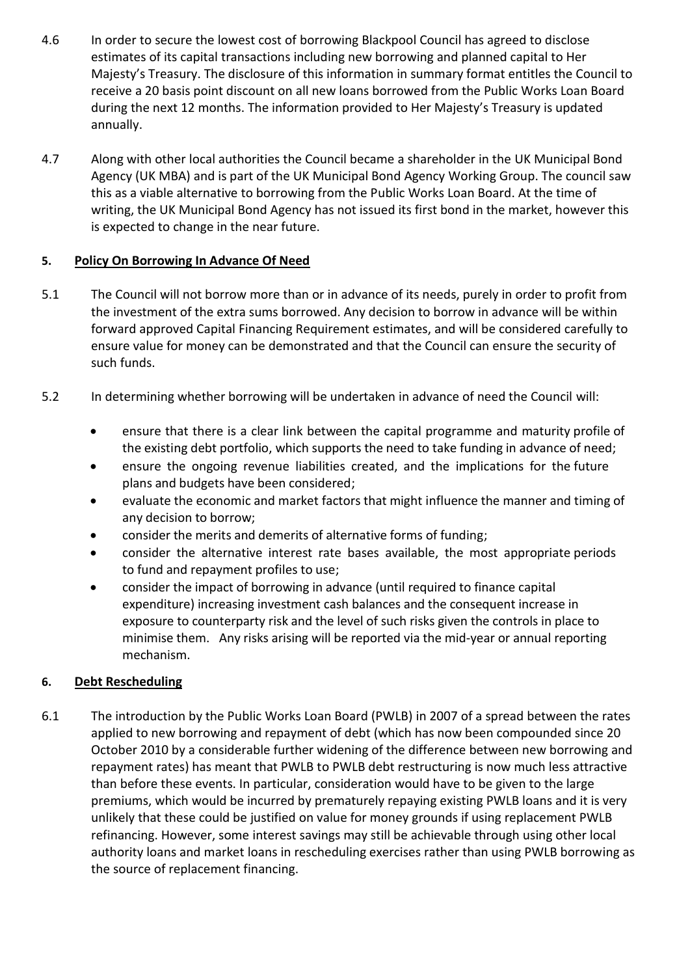- 4.6 In order to secure the lowest cost of borrowing Blackpool Council has agreed to disclose estimates of its capital transactions including new borrowing and planned capital to Her Majesty's Treasury. The disclosure of this information in summary format entitles the Council to receive a 20 basis point discount on all new loans borrowed from the Public Works Loan Board during the next 12 months. The information provided to Her Majesty's Treasury is updated annually.
- 4.7 Along with other local authorities the Council became a shareholder in the UK Municipal Bond Agency (UK MBA) and is part of the UK Municipal Bond Agency Working Group. The council saw this as a viable alternative to borrowing from the Public Works Loan Board. At the time of writing, the UK Municipal Bond Agency has not issued its first bond in the market, however this is expected to change in the near future.

# **5. Policy On Borrowing In Advance Of Need**

- 5.1 The Council will not borrow more than or in advance of its needs, purely in order to profit from the investment of the extra sums borrowed. Any decision to borrow in advance will be within forward approved Capital Financing Requirement estimates, and will be considered carefully to ensure value for money can be demonstrated and that the Council can ensure the security of such funds.
- 5.2 In determining whether borrowing will be undertaken in advance of need the Council will:
	- ensure that there is a clear link between the capital programme and maturity profile of the existing debt portfolio, which supports the need to take funding in advance of need;
	- ensure the ongoing revenue liabilities created, and the implications for the future plans and budgets have been considered;
	- evaluate the economic and market factors that might influence the manner and timing of any decision to borrow;
	- consider the merits and demerits of alternative forms of funding;
	- consider the alternative interest rate bases available, the most appropriate periods to fund and repayment profiles to use;
	- consider the impact of borrowing in advance (until required to finance capital expenditure) increasing investment cash balances and the consequent increase in exposure to counterparty risk and the level of such risks given the controls in place to minimise them. Any risks arising will be reported via the mid-year or annual reporting mechanism.

## **6. Debt Rescheduling**

6.1 The introduction by the Public Works Loan Board (PWLB) in 2007 of a spread between the rates applied to new borrowing and repayment of debt (which has now been compounded since 20 October 2010 by a considerable further widening of the difference between new borrowing and repayment rates) has meant that PWLB to PWLB debt restructuring is now much less attractive than before these events. In particular, consideration would have to be given to the large premiums, which would be incurred by prematurely repaying existing PWLB loans and it is very unlikely that these could be justified on value for money grounds if using replacement PWLB refinancing. However, some interest savings may still be achievable through using other local authority loans and market loans in rescheduling exercises rather than using PWLB borrowing as the source of replacement financing.